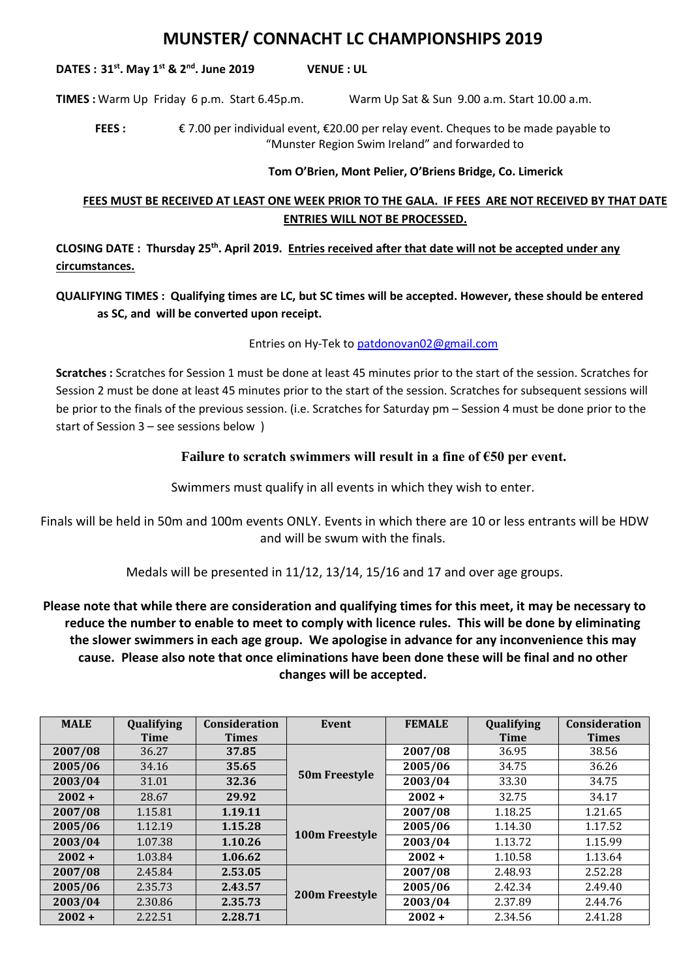# **MUNSTER/ CONNACHT LC CHAMPIONSHIPS 2019**

**DATES : 31st. May 1st & 2nd. June 2019 VENUE : UL**

**TIMES :** Warm Up Friday 6 p.m. Start 6.45p.m. Warm Up Sat & Sun 9.00 a.m. Start 10.00 a.m.

**FEES :** € 7.00 per individual event, €20.00 per relay event. Cheques to be made payable to "Munster Region Swim Ireland" and forwarded to

#### **Tom O'Brien, Mont Pelier, O'Briens Bridge, Co. Limerick**

## **FEES MUST BE RECEIVED AT LEAST ONE WEEK PRIOR TO THE GALA. IF FEES ARE NOT RECEIVED BY THAT DATE ENTRIES WILL NOT BE PROCESSED.**

**CLOSING DATE : Thursday 25th. April 2019. Entries received after that date will not be accepted under any circumstances.**

## **QUALIFYING TIMES : Qualifying times are LC, but SC times will be accepted. However, these should be entered as SC, and will be converted upon receipt.**

#### Entries on Hy-Tek to [patdonovan02@gmail.com](mailto:patdonovan2@eircom.net)

**Scratches :** Scratches for Session 1 must be done at least 45 minutes prior to the start of the session. Scratches for Session 2 must be done at least 45 minutes prior to the start of the session. Scratches for subsequent sessions will be prior to the finals of the previous session. (i.e. Scratches for Saturday pm – Session 4 must be done prior to the start of Session 3 – see sessions below )

### **Failure to scratch swimmers will result in a fine of €50 per event.**

Swimmers must qualify in all events in which they wish to enter.

Finals will be held in 50m and 100m events ONLY. Events in which there are 10 or less entrants will be HDW and will be swum with the finals.

Medals will be presented in 11/12, 13/14, 15/16 and 17 and over age groups.

**Please note that while there are consideration and qualifying times for this meet, it may be necessary to reduce the number to enable to meet to comply with licence rules. This will be done by eliminating the slower swimmers in each age group. We apologise in advance for any inconvenience this may cause. Please also note that once eliminations have been done these will be final and no other changes will be accepted.**

| <b>MALE</b> | Qualifying  | Consideration | Event          | <b>FEMALE</b> | Qualifying  | Consideration |
|-------------|-------------|---------------|----------------|---------------|-------------|---------------|
|             | <b>Time</b> | <b>Times</b>  |                |               | <b>Time</b> | <b>Times</b>  |
| 2007/08     | 36.27       | 37.85         | 50m Freestyle  | 2007/08       | 36.95       | 38.56         |
| 2005/06     | 34.16       | 35.65         |                | 2005/06       | 34.75       | 36.26         |
| 2003/04     | 31.01       | 32.36         |                | 2003/04       | 33.30       | 34.75         |
| $2002 +$    | 28.67       | 29.92         |                | $2002 +$      | 32.75       | 34.17         |
| 2007/08     | 1.15.81     | 1.19.11       | 100m Freestyle | 2007/08       | 1.18.25     | 1.21.65       |
| 2005/06     | 1.12.19     | 1.15.28       |                | 2005/06       | 1.14.30     | 1.17.52       |
| 2003/04     | 1.07.38     | 1.10.26       |                | 2003/04       | 1.13.72     | 1.15.99       |
| $2002 +$    | 1.03.84     | 1.06.62       |                | $2002 +$      | 1.10.58     | 1.13.64       |
| 2007/08     | 2.45.84     | 2.53.05       | 200m Freestyle | 2007/08       | 2.48.93     | 2.52.28       |
| 2005/06     | 2.35.73     | 2.43.57       |                | 2005/06       | 2.42.34     | 2.49.40       |
| 2003/04     | 2.30.86     | 2.35.73       |                | 2003/04       | 2.37.89     | 2.44.76       |
| $2002 +$    | 2.22.51     | 2.28.71       |                | $2002 +$      | 2.34.56     | 2.41.28       |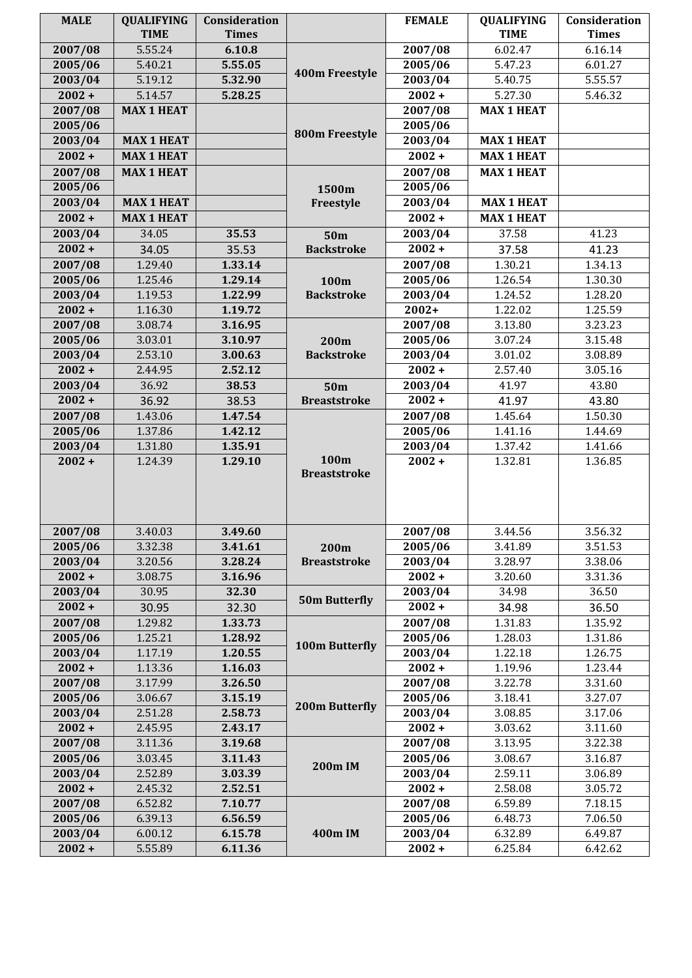| <b>MALE</b>        | <b>QUALIFYING</b><br><b>TIME</b> | Consideration<br><b>Times</b> |                             | <b>FEMALE</b>      | <b>QUALIFYING</b><br><b>TIME</b> | Consideration<br><b>Times</b> |
|--------------------|----------------------------------|-------------------------------|-----------------------------|--------------------|----------------------------------|-------------------------------|
|                    | 5.55.24                          |                               |                             |                    | 6.02.47                          |                               |
| 2007/08<br>2005/06 | 5.40.21                          | 6.10.8<br>5.55.05             | 400m Freestyle              | 2007/08<br>2005/06 | 5.47.23                          | 6.16.14<br>6.01.27            |
| 2003/04            | 5.19.12                          |                               |                             | 2003/04            |                                  | 5.55.57                       |
| $2002 +$           |                                  | 5.32.90<br>5.28.25            |                             | $2002 +$           | 5.40.75                          |                               |
| 2007/08            | 5.14.57<br><b>MAX 1 HEAT</b>     |                               |                             |                    | 5.27.30<br><b>MAX 1 HEAT</b>     | 5.46.32                       |
|                    |                                  |                               |                             | 2007/08            |                                  |                               |
| 2005/06            | <b>MAX 1 HEAT</b>                |                               | 800m Freestyle              | 2005/06            |                                  |                               |
| 2003/04            |                                  |                               |                             | 2003/04            | <b>MAX 1 HEAT</b>                |                               |
| $2002 +$           | <b>MAX 1 HEAT</b>                |                               |                             | $2002 +$           | <b>MAX 1 HEAT</b>                |                               |
| 2007/08            | <b>MAX 1 HEAT</b>                |                               |                             | 2007/08            | <b>MAX 1 HEAT</b>                |                               |
| 2005/06            |                                  |                               | 1500m                       | 2005/06            |                                  |                               |
| 2003/04            | <b>MAX 1 HEAT</b>                |                               | Freestyle                   | 2003/04            | <b>MAX 1 HEAT</b>                |                               |
| $2002 +$           | <b>MAX 1 HEAT</b>                |                               |                             | $2002 +$           | <b>MAX 1 HEAT</b>                |                               |
| 2003/04            | 34.05                            | 35.53                         | 50 <sub>m</sub>             | 2003/04            | 37.58                            | 41.23                         |
| $2002 +$           | 34.05                            | 35.53                         | <b>Backstroke</b>           | $2002 +$           | 37.58                            | 41.23                         |
| 2007/08            | 1.29.40                          | 1.33.14                       |                             | 2007/08            | 1.30.21                          | 1.34.13                       |
| 2005/06            | 1.25.46                          | 1.29.14                       | 100m                        | 2005/06            | 1.26.54                          | 1.30.30                       |
| 2003/04            | 1.19.53                          | 1.22.99                       | <b>Backstroke</b>           | 2003/04            | 1.24.52                          | 1.28.20                       |
| $2002 +$           | 1.16.30                          | 1.19.72                       |                             | $2002+$            | 1.22.02                          | 1.25.59                       |
| 2007/08            | 3.08.74                          | 3.16.95                       |                             | 2007/08            | 3.13.80                          | 3.23.23                       |
| 2005/06            | 3.03.01                          | 3.10.97                       | 200m<br><b>Backstroke</b>   | 2005/06            | 3.07.24                          | 3.15.48                       |
| 2003/04            | 2.53.10                          | 3.00.63                       |                             | 2003/04            | 3.01.02                          | 3.08.89                       |
| $2002 +$           | 2.44.95                          | 2.52.12                       |                             | $2002 +$           | 2.57.40                          | 3.05.16                       |
| 2003/04            | 36.92                            | 38.53                         | 50 <sub>m</sub>             | 2003/04            | 41.97                            | 43.80                         |
| $2002 +$           | 36.92                            | 38.53                         | <b>Breaststroke</b>         | $2002 +$           | 41.97                            | 43.80                         |
| 2007/08            | 1.43.06                          | 1.47.54                       |                             | 2007/08            | 1.45.64                          | 1.50.30                       |
| 2005/06            | 1.37.86                          | 1.42.12                       |                             | 2005/06            | 1.41.16                          | 1.44.69                       |
| 2003/04            | 1.31.80                          | 1.35.91                       | 100m<br><b>Breaststroke</b> | 2003/04            | 1.37.42                          | 1.41.66                       |
| $2002 +$           | 1.24.39                          | 1.29.10                       |                             | $2002 +$           | 1.32.81                          | 1.36.85                       |
|                    |                                  |                               |                             |                    |                                  |                               |
|                    |                                  |                               |                             |                    |                                  |                               |
| 2007/08            | 3.40.03                          | 3.49.60                       |                             | 2007/08            | 3.44.56                          | 3.56.32                       |
| 2005/06            | 3.32.38                          | 3.41.61                       | 200m                        | 2005/06            | 3.41.89                          | 3.51.53                       |
| 2003/04            | 3.20.56                          | 3.28.24                       | <b>Breaststroke</b>         | 2003/04            | 3.28.97                          | 3.38.06                       |
| $2002 +$           | 3.08.75                          | 3.16.96                       |                             | $2002 +$           | 3.20.60                          | 3.31.36                       |
| 2003/04            | 30.95                            | 32.30                         | <b>50m Butterfly</b>        | 2003/04            | 34.98                            | 36.50                         |
| $2002 +$           | 30.95                            | 32.30                         |                             | $2002 +$           | 34.98                            | 36.50                         |
| 2007/08            | 1.29.82                          | 1.33.73                       |                             | 2007/08            | 1.31.83                          | 1.35.92                       |
| 2005/06            | 1.25.21                          | 1.28.92                       | 100m Butterfly              | 2005/06            | 1.28.03                          | 1.31.86                       |
| 2003/04            | 1.17.19                          | 1.20.55                       |                             | 2003/04            | 1.22.18                          | 1.26.75                       |
| $2002 +$           | 1.13.36                          | 1.16.03                       |                             | $2002 +$           | 1.19.96                          | 1.23.44                       |
| 2007/08            | 3.17.99                          | 3.26.50                       |                             | 2007/08            | 3.22.78                          | 3.31.60                       |
| 2005/06            | 3.06.67                          | 3.15.19                       | 200m Butterfly              | 2005/06            | 3.18.41                          | 3.27.07                       |
| 2003/04            | 2.51.28                          | 2.58.73                       |                             | 2003/04            | 3.08.85                          | 3.17.06                       |
| $2002 +$           | 2.45.95                          | 2.43.17                       |                             | $2002 +$           | 3.03.62                          | 3.11.60                       |
| 2007/08            | 3.11.36                          | 3.19.68                       |                             | 2007/08            | 3.13.95                          | 3.22.38                       |
| 2005/06            | 3.03.45                          | 3.11.43                       |                             | 2005/06            | 3.08.67                          | 3.16.87                       |
| 2003/04            | 2.52.89                          | 3.03.39                       | <b>200m IM</b>              | 2003/04            | 2.59.11                          | 3.06.89                       |
| $2002 +$           | 2.45.32                          | 2.52.51                       |                             | $2002 +$           | 2.58.08                          | 3.05.72                       |
| 2007/08            | 6.52.82                          | 7.10.77                       |                             | 2007/08            | 6.59.89                          | 7.18.15                       |
| 2005/06            | 6.39.13                          | 6.56.59                       |                             | 2005/06            | 6.48.73                          | 7.06.50                       |
| 2003/04            | 6.00.12                          | 6.15.78                       | 400m IM                     | 2003/04            | 6.32.89                          | 6.49.87                       |
| $2002 +$           | 5.55.89                          | 6.11.36                       |                             | $2002 +$           | 6.25.84                          | 6.42.62                       |